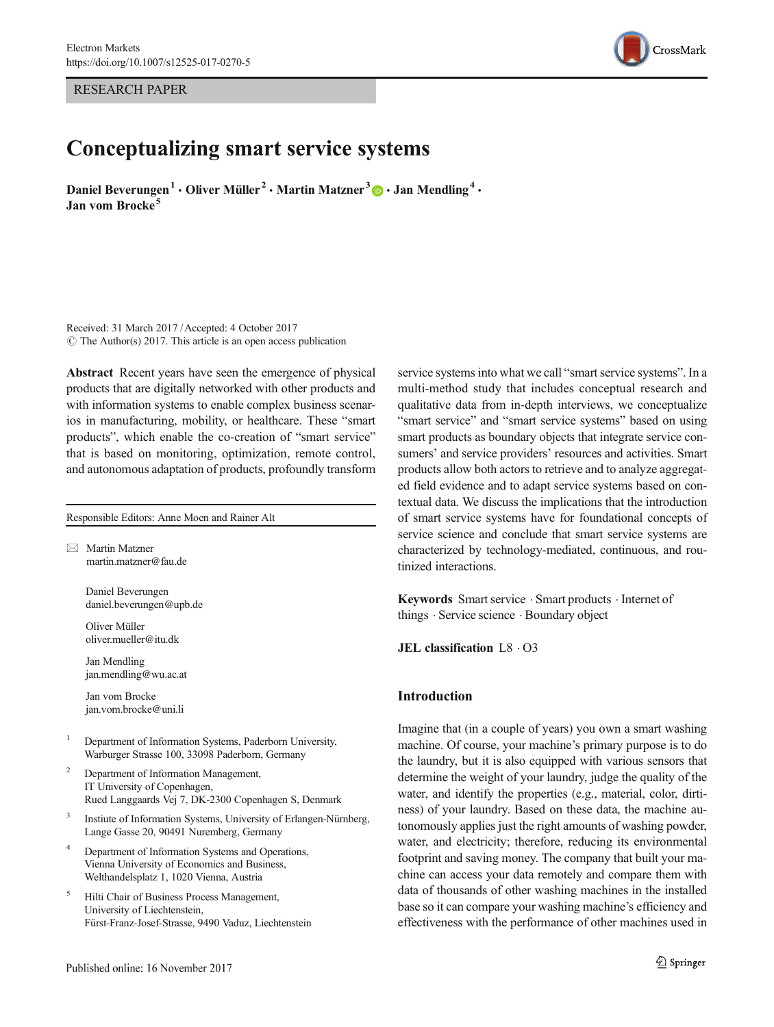RESEARCH PAPER

# CrossMark

# Conceptualizing smart service systems

Daniel Beverungen<sup>1</sup> · Oliver Müller<sup>2</sup> · Martin Matzner<sup>3</sup>  $\bullet$  · Jan Mendling<sup>4</sup> · Jan vom Brocke<sup>5</sup>

Received: 31 March 2017 /Accepted: 4 October 2017  $\circ$  The Author(s) 2017. This article is an open access publication

Abstract Recent years have seen the emergence of physical products that are digitally networked with other products and with information systems to enable complex business scenarios in manufacturing, mobility, or healthcare. These "smart products", which enable the co-creation of "smart service" that is based on monitoring, optimization, remote control, and autonomous adaptation of products, profoundly transform

Responsible Editors: Anne Moen and Rainer Alt  $\boxtimes$  Martin Matzner [martin.matzner@fau.de](mailto:martin.matzner@fau.de) Daniel Beverungen daniel.beverungen@upb.de Oliver Müller oliver.mueller@itu.dk Jan Mendling jan.mendling@wu.ac.at Jan vom Brocke jan.vom.brocke@uni.li <sup>1</sup> Department of Information Systems, Paderborn University, Warburger Strasse 100, 33098 Paderborn, Germany

- <sup>2</sup> Department of Information Management, IT University of Copenhagen, Rued Langgaards Vej 7, DK-2300 Copenhagen S, Denmark
- <sup>3</sup> Instiute of Information Systems, University of Erlangen-Nürnberg, Lange Gasse 20, 90491 Nuremberg, Germany
- <sup>4</sup> Department of Information Systems and Operations, Vienna University of Economics and Business, Welthandelsplatz 1, 1020 Vienna, Austria
- <sup>5</sup> Hilti Chair of Business Process Management, University of Liechtenstein, Fürst-Franz-Josef-Strasse, 9490 Vaduz, Liechtenstein

service systems into what we call "smart service systems". In a multi-method study that includes conceptual research and qualitative data from in-depth interviews, we conceptualize "smart service" and "smart service systems" based on using smart products as boundary objects that integrate service consumers' and service providers' resources and activities. Smart products allow both actors to retrieve and to analyze aggregated field evidence and to adapt service systems based on contextual data. We discuss the implications that the introduction of smart service systems have for foundational concepts of service science and conclude that smart service systems are characterized by technology-mediated, continuous, and routinized interactions.

Keywords Smart service . Smart products . Internet of things . Service science . Boundary object

JEL classification L8  $\cdot$  O3

# Introduction

Imagine that (in a couple of years) you own a smart washing machine. Of course, your machine's primary purpose is to do the laundry, but it is also equipped with various sensors that determine the weight of your laundry, judge the quality of the water, and identify the properties (e.g., material, color, dirtiness) of your laundry. Based on these data, the machine autonomously applies just the right amounts of washing powder, water, and electricity; therefore, reducing its environmental footprint and saving money. The company that built your machine can access your data remotely and compare them with data of thousands of other washing machines in the installed base so it can compare your washing machine's efficiency and effectiveness with the performance of other machines used in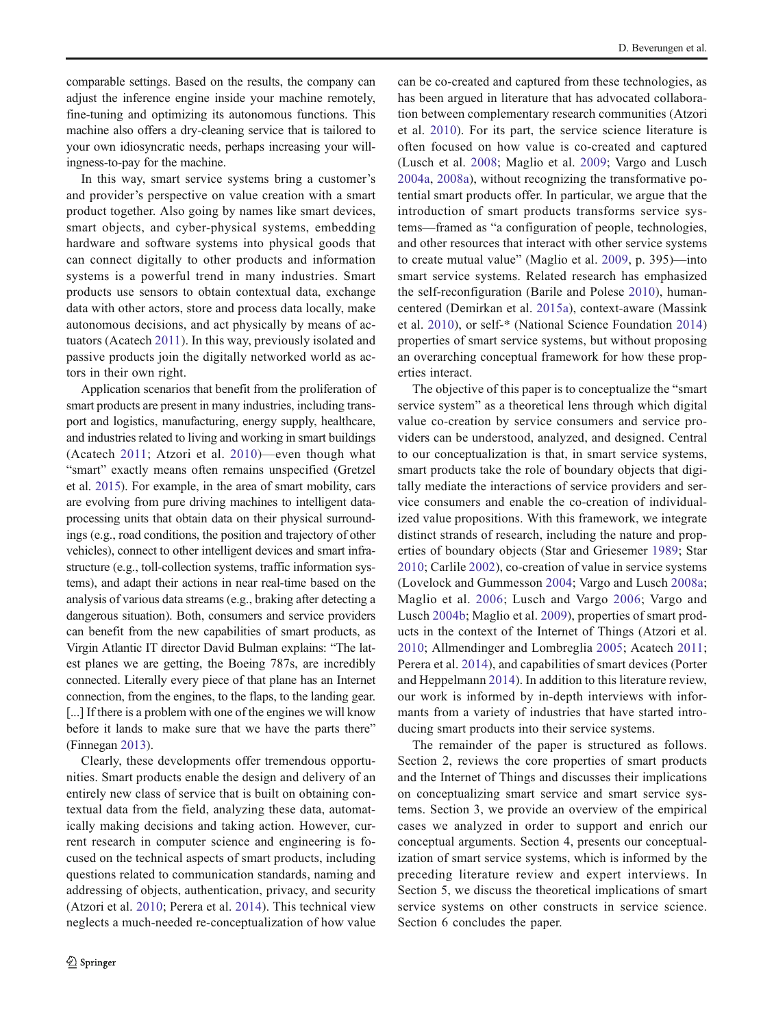comparable settings. Based on the results, the company can adjust the inference engine inside your machine remotely, fine-tuning and optimizing its autonomous functions. This machine also offers a dry-cleaning service that is tailored to your own idiosyncratic needs, perhaps increasing your willingness-to-pay for the machine.

In this way, smart service systems bring a customer's and provider's perspective on value creation with a smart product together. Also going by names like smart devices, smart objects, and cyber-physical systems, embedding hardware and software systems into physical goods that can connect digitally to other products and information systems is a powerful trend in many industries. Smart products use sensors to obtain contextual data, exchange data with other actors, store and process data locally, make autonomous decisions, and act physically by means of actuators (Acatech [2011](#page-10-0)). In this way, previously isolated and passive products join the digitally networked world as actors in their own right.

Application scenarios that benefit from the proliferation of smart products are present in many industries, including transport and logistics, manufacturing, energy supply, healthcare, and industries related to living and working in smart buildings (Acatech [2011](#page-10-0); Atzori et al. [2010](#page-10-0))—even though what "smart" exactly means often remains unspecified (Gretzel et al. [2015\)](#page-11-0). For example, in the area of smart mobility, cars are evolving from pure driving machines to intelligent dataprocessing units that obtain data on their physical surroundings (e.g., road conditions, the position and trajectory of other vehicles), connect to other intelligent devices and smart infrastructure (e.g., toll-collection systems, traffic information systems), and adapt their actions in near real-time based on the analysis of various data streams (e.g., braking after detecting a dangerous situation). Both, consumers and service providers can benefit from the new capabilities of smart products, as Virgin Atlantic IT director David Bulman explains: "The latest planes we are getting, the Boeing 787s, are incredibly connected. Literally every piece of that plane has an Internet connection, from the engines, to the flaps, to the landing gear. [...] If there is a problem with one of the engines we will know before it lands to make sure that we have the parts there" (Finnegan [2013\)](#page-10-0).

Clearly, these developments offer tremendous opportunities. Smart products enable the design and delivery of an entirely new class of service that is built on obtaining contextual data from the field, analyzing these data, automatically making decisions and taking action. However, current research in computer science and engineering is focused on the technical aspects of smart products, including questions related to communication standards, naming and addressing of objects, authentication, privacy, and security (Atzori et al. [2010](#page-10-0); Perera et al. [2014\)](#page-11-0). This technical view neglects a much-needed re-conceptualization of how value can be co-created and captured from these technologies, as has been argued in literature that has advocated collaboration between complementary research communities (Atzori et al. [2010](#page-10-0)). For its part, the service science literature is often focused on how value is co-created and captured (Lusch et al. [2008;](#page-11-0) Maglio et al. [2009;](#page-11-0) Vargo and Lusch [2004a,](#page-11-0) [2008a](#page-11-0)), without recognizing the transformative potential smart products offer. In particular, we argue that the introduction of smart products transforms service systems—framed as "a configuration of people, technologies, and other resources that interact with other service systems to create mutual value" (Maglio et al. [2009,](#page-11-0) p. 395)—into smart service systems. Related research has emphasized the self-reconfiguration (Barile and Polese [2010](#page-10-0)), humancentered (Demirkan et al. [2015a\)](#page-10-0), context-aware (Massink et al. [2010\)](#page-11-0), or self-\* (National Science Foundation [2014](#page-11-0)) properties of smart service systems, but without proposing an overarching conceptual framework for how these properties interact.

The objective of this paper is to conceptualize the "smart service system" as a theoretical lens through which digital value co-creation by service consumers and service providers can be understood, analyzed, and designed. Central to our conceptualization is that, in smart service systems, smart products take the role of boundary objects that digitally mediate the interactions of service providers and service consumers and enable the co-creation of individualized value propositions. With this framework, we integrate distinct strands of research, including the nature and properties of boundary objects (Star and Griesemer [1989](#page-11-0); Star [2010](#page-11-0); Carlile [2002](#page-10-0)), co-creation of value in service systems (Lovelock and Gummesson [2004;](#page-11-0) Vargo and Lusch [2008a;](#page-11-0) Maglio et al. [2006;](#page-11-0) Lusch and Vargo [2006](#page-11-0); Vargo and Lusch [2004b](#page-11-0); Maglio et al. [2009\)](#page-11-0), properties of smart products in the context of the Internet of Things (Atzori et al. [2010](#page-10-0); Allmendinger and Lombreglia [2005;](#page-10-0) Acatech [2011;](#page-10-0) Perera et al. [2014\)](#page-11-0), and capabilities of smart devices (Porter and Heppelmann [2014\)](#page-11-0). In addition to this literature review, our work is informed by in-depth interviews with informants from a variety of industries that have started introducing smart products into their service systems.

The remainder of the paper is structured as follows. Section 2, reviews the core properties of smart products and the Internet of Things and discusses their implications on conceptualizing smart service and smart service systems. Section 3, we provide an overview of the empirical cases we analyzed in order to support and enrich our conceptual arguments. Section 4, presents our conceptualization of smart service systems, which is informed by the preceding literature review and expert interviews. In Section 5, we discuss the theoretical implications of smart service systems on other constructs in service science. Section 6 concludes the paper.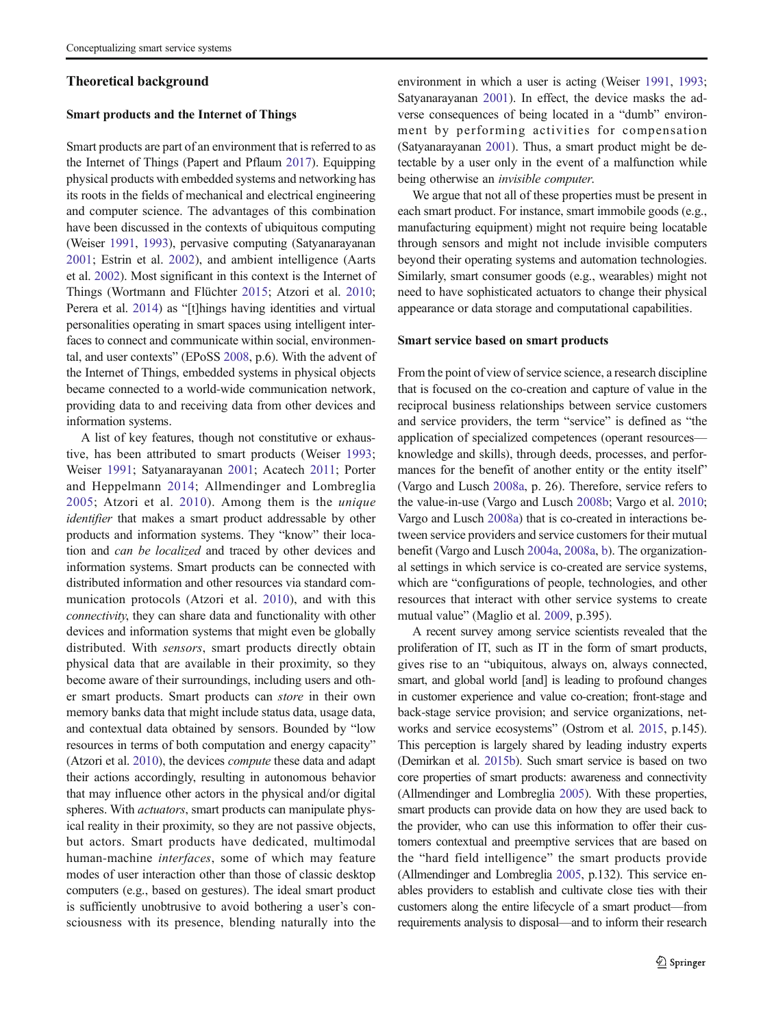#### Theoretical background

#### Smart products and the Internet of Things

Smart products are part of an environment that is referred to as the Internet of Things (Papert and Pflaum [2017\)](#page-11-0). Equipping physical products with embedded systems and networking has its roots in the fields of mechanical and electrical engineering and computer science. The advantages of this combination have been discussed in the contexts of ubiquitous computing (Weiser [1991,](#page-11-0) [1993\)](#page-11-0), pervasive computing (Satyanarayanan [2001](#page-11-0); Estrin et al. [2002](#page-10-0)), and ambient intelligence (Aarts et al. [2002](#page-10-0)). Most significant in this context is the Internet of Things (Wortmann and Flüchter [2015](#page-11-0); Atzori et al. [2010](#page-10-0); Perera et al. [2014\)](#page-11-0) as "[t]hings having identities and virtual personalities operating in smart spaces using intelligent interfaces to connect and communicate within social, environmental, and user contexts" (EPoSS [2008,](#page-10-0) p.6). With the advent of the Internet of Things, embedded systems in physical objects became connected to a world-wide communication network, providing data to and receiving data from other devices and information systems.

A list of key features, though not constitutive or exhaustive, has been attributed to smart products (Weiser [1993](#page-11-0); Weiser [1991](#page-11-0); Satyanarayanan [2001](#page-11-0); Acatech [2011](#page-10-0); Porter and Heppelmann [2014](#page-11-0); Allmendinger and Lombreglia [2005](#page-10-0); Atzori et al. [2010](#page-10-0)). Among them is the unique identifier that makes a smart product addressable by other products and information systems. They "know" their location and can be localized and traced by other devices and information systems. Smart products can be connected with distributed information and other resources via standard communication protocols (Atzori et al. [2010\)](#page-10-0), and with this connectivity, they can share data and functionality with other devices and information systems that might even be globally distributed. With sensors, smart products directly obtain physical data that are available in their proximity, so they become aware of their surroundings, including users and other smart products. Smart products can store in their own memory banks data that might include status data, usage data, and contextual data obtained by sensors. Bounded by "low resources in terms of both computation and energy capacity" (Atzori et al. [2010\)](#page-10-0), the devices compute these data and adapt their actions accordingly, resulting in autonomous behavior that may influence other actors in the physical and/or digital spheres. With *actuators*, smart products can manipulate physical reality in their proximity, so they are not passive objects, but actors. Smart products have dedicated, multimodal human-machine interfaces, some of which may feature modes of user interaction other than those of classic desktop computers (e.g., based on gestures). The ideal smart product is sufficiently unobtrusive to avoid bothering a user's consciousness with its presence, blending naturally into the

environment in which a user is acting (Weiser [1991,](#page-11-0) [1993;](#page-11-0) Satyanarayanan [2001\)](#page-11-0). In effect, the device masks the adverse consequences of being located in a "dumb" environment by performing activities for compensation (Satyanarayanan [2001](#page-11-0)). Thus, a smart product might be detectable by a user only in the event of a malfunction while being otherwise an invisible computer.

We argue that not all of these properties must be present in each smart product. For instance, smart immobile goods (e.g., manufacturing equipment) might not require being locatable through sensors and might not include invisible computers beyond their operating systems and automation technologies. Similarly, smart consumer goods (e.g., wearables) might not need to have sophisticated actuators to change their physical appearance or data storage and computational capabilities.

#### Smart service based on smart products

From the point of view of service science, a research discipline that is focused on the co-creation and capture of value in the reciprocal business relationships between service customers and service providers, the term "service" is defined as "the application of specialized competences (operant resources knowledge and skills), through deeds, processes, and performances for the benefit of another entity or the entity itself" (Vargo and Lusch [2008a](#page-11-0), p. 26). Therefore, service refers to the value-in-use (Vargo and Lusch [2008b;](#page-11-0) Vargo et al. [2010;](#page-11-0) Vargo and Lusch [2008a](#page-11-0)) that is co-created in interactions between service providers and service customers for their mutual benefit (Vargo and Lusch [2004a,](#page-11-0) [2008a](#page-11-0), [b\)](#page-11-0). The organizational settings in which service is co-created are service systems, which are "configurations of people, technologies, and other resources that interact with other service systems to create mutual value" (Maglio et al. [2009](#page-11-0), p.395).

A recent survey among service scientists revealed that the proliferation of IT, such as IT in the form of smart products, gives rise to an "ubiquitous, always on, always connected, smart, and global world [and] is leading to profound changes in customer experience and value co-creation; front-stage and back-stage service provision; and service organizations, networks and service ecosystems" (Ostrom et al. [2015](#page-11-0), p.145). This perception is largely shared by leading industry experts (Demirkan et al. [2015b\)](#page-10-0). Such smart service is based on two core properties of smart products: awareness and connectivity (Allmendinger and Lombreglia [2005\)](#page-10-0). With these properties, smart products can provide data on how they are used back to the provider, who can use this information to offer their customers contextual and preemptive services that are based on the "hard field intelligence" the smart products provide (Allmendinger and Lombreglia [2005](#page-10-0), p.132). This service enables providers to establish and cultivate close ties with their customers along the entire lifecycle of a smart product—from requirements analysis to disposal—and to inform their research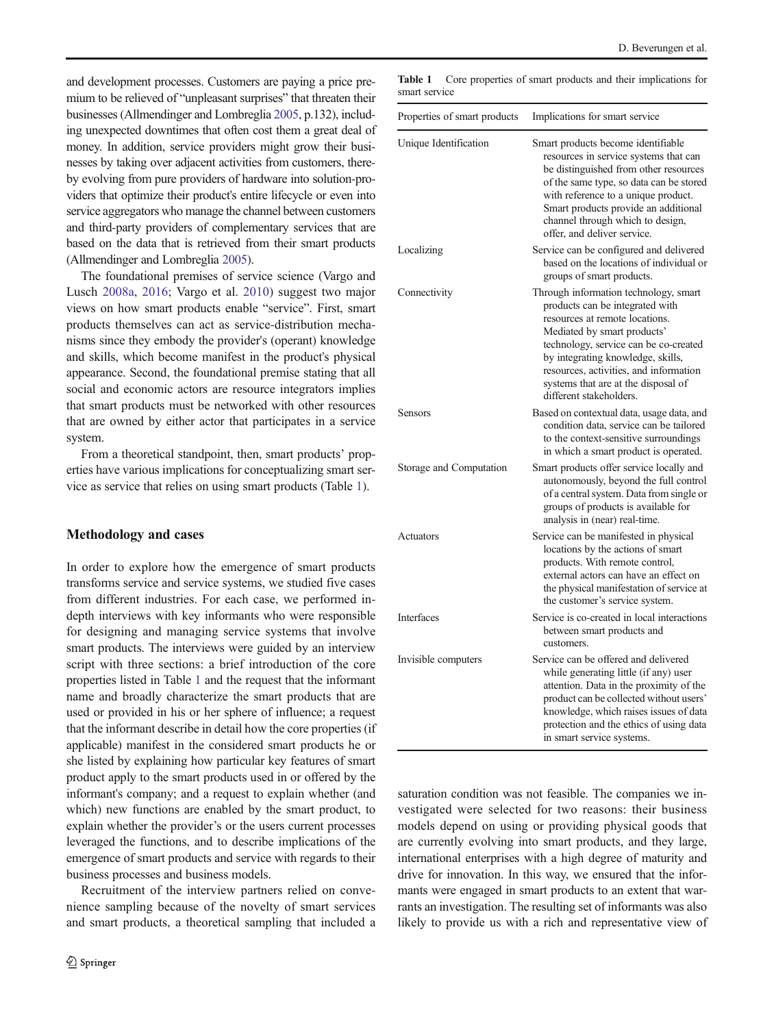and development processes. Customers are paying a price premium to be relieved of "unpleasant surprises" that threaten their businesses (Allmendinger and Lombreglia [2005,](#page-10-0) p.132), including unexpected downtimes that often cost them a great deal of money. In addition, service providers might grow their businesses by taking over adjacent activities from customers, thereby evolving from pure providers of hardware into solution-providers that optimize their product's entire lifecycle or even into service aggregators who manage the channel between customers and third-party providers of complementary services that are based on the data that is retrieved from their smart products (Allmendinger and Lombreglia [2005](#page-10-0)).

The foundational premises of service science (Vargo and Lusch [2008a](#page-11-0), [2016](#page-11-0); Vargo et al. [2010](#page-11-0)) suggest two major views on how smart products enable "service". First, smart products themselves can act as service-distribution mechanisms since they embody the provider's (operant) knowledge and skills, which become manifest in the product's physical appearance. Second, the foundational premise stating that all social and economic actors are resource integrators implies that smart products must be networked with other resources that are owned by either actor that participates in a service system.

From a theoretical standpoint, then, smart products' properties have various implications for conceptualizing smart service as service that relies on using smart products (Table 1).

#### Methodology and cases

In order to explore how the emergence of smart products transforms service and service systems, we studied five cases from different industries. For each case, we performed indepth interviews with key informants who were responsible for designing and managing service systems that involve smart products. The interviews were guided by an interview script with three sections: a brief introduction of the core properties listed in Table 1 and the request that the informant name and broadly characterize the smart products that are used or provided in his or her sphere of influence; a request that the informant describe in detail how the core properties (if applicable) manifest in the considered smart products he or she listed by explaining how particular key features of smart product apply to the smart products used in or offered by the informant's company; and a request to explain whether (and which) new functions are enabled by the smart product, to explain whether the provider's or the users current processes leveraged the functions, and to describe implications of the emergence of smart products and service with regards to their business processes and business models.

Recruitment of the interview partners relied on convenience sampling because of the novelty of smart services and smart products, a theoretical sampling that included a Table 1 Core properties of smart products and their implications for smart service

| Properties of smart products | Implications for smart service                                                                                                                                                                                                                                                                                                      |
|------------------------------|-------------------------------------------------------------------------------------------------------------------------------------------------------------------------------------------------------------------------------------------------------------------------------------------------------------------------------------|
| Unique Identification        | Smart products become identifiable<br>resources in service systems that can<br>be distinguished from other resources<br>of the same type, so data can be stored<br>with reference to a unique product.<br>Smart products provide an additional<br>channel through which to design,<br>offer, and deliver service.                   |
| Localizing                   | Service can be configured and delivered<br>based on the locations of individual or<br>groups of smart products.                                                                                                                                                                                                                     |
| Connectivity                 | Through information technology, smart<br>products can be integrated with<br>resources at remote locations.<br>Mediated by smart products'<br>technology, service can be co-created<br>by integrating knowledge, skills,<br>resources, activities, and information<br>systems that are at the disposal of<br>different stakeholders. |
| Sensors                      | Based on contextual data, usage data, and<br>condition data, service can be tailored<br>to the context-sensitive surroundings<br>in which a smart product is operated.                                                                                                                                                              |
| Storage and Computation      | Smart products offer service locally and<br>autonomously, beyond the full control<br>of a central system. Data from single or<br>groups of products is available for<br>analysis in (near) real-time.                                                                                                                               |
| Actuators                    | Service can be manifested in physical<br>locations by the actions of smart<br>products. With remote control,<br>external actors can have an effect on<br>the physical manifestation of service at<br>the customer's service system.                                                                                                 |
| Interfaces                   | Service is co-created in local interactions<br>between smart products and<br>customers.                                                                                                                                                                                                                                             |
| Invisible computers          | Service can be offered and delivered<br>while generating little (if any) user<br>attention. Data in the proximity of the<br>product can be collected without users'<br>knowledge, which raises issues of data<br>protection and the ethics of using data<br>in smart service systems.                                               |

saturation condition was not feasible. The companies we investigated were selected for two reasons: their business models depend on using or providing physical goods that are currently evolving into smart products, and they large, international enterprises with a high degree of maturity and drive for innovation. In this way, we ensured that the informants were engaged in smart products to an extent that warrants an investigation. The resulting set of informants was also likely to provide us with a rich and representative view of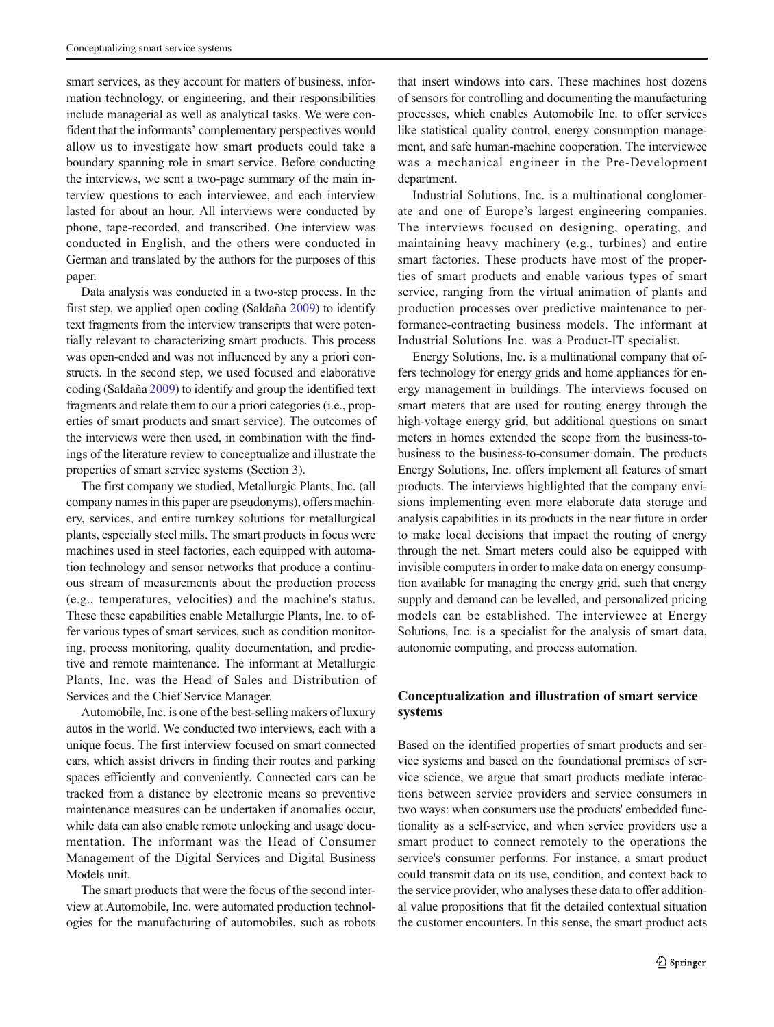smart services, as they account for matters of business, information technology, or engineering, and their responsibilities include managerial as well as analytical tasks. We were confident that the informants' complementary perspectives would allow us to investigate how smart products could take a boundary spanning role in smart service. Before conducting the interviews, we sent a two-page summary of the main interview questions to each interviewee, and each interview lasted for about an hour. All interviews were conducted by phone, tape-recorded, and transcribed. One interview was conducted in English, and the others were conducted in German and translated by the authors for the purposes of this paper.

Data analysis was conducted in a two-step process. In the first step, we applied open coding (Saldaña [2009\)](#page-11-0) to identify text fragments from the interview transcripts that were potentially relevant to characterizing smart products. This process was open-ended and was not influenced by any a priori constructs. In the second step, we used focused and elaborative coding (Saldaña [2009\)](#page-11-0) to identify and group the identified text fragments and relate them to our a priori categories (i.e., properties of smart products and smart service). The outcomes of the interviews were then used, in combination with the findings of the literature review to conceptualize and illustrate the properties of smart service systems (Section 3).

The first company we studied, Metallurgic Plants, Inc. (all company names in this paper are pseudonyms), offers machinery, services, and entire turnkey solutions for metallurgical plants, especially steel mills. The smart products in focus were machines used in steel factories, each equipped with automation technology and sensor networks that produce a continuous stream of measurements about the production process (e.g., temperatures, velocities) and the machine's status. These these capabilities enable Metallurgic Plants, Inc. to offer various types of smart services, such as condition monitoring, process monitoring, quality documentation, and predictive and remote maintenance. The informant at Metallurgic Plants, Inc. was the Head of Sales and Distribution of Services and the Chief Service Manager.

Automobile, Inc. is one of the best-selling makers of luxury autos in the world. We conducted two interviews, each with a unique focus. The first interview focused on smart connected cars, which assist drivers in finding their routes and parking spaces efficiently and conveniently. Connected cars can be tracked from a distance by electronic means so preventive maintenance measures can be undertaken if anomalies occur, while data can also enable remote unlocking and usage documentation. The informant was the Head of Consumer Management of the Digital Services and Digital Business Models unit.

The smart products that were the focus of the second interview at Automobile, Inc. were automated production technologies for the manufacturing of automobiles, such as robots

that insert windows into cars. These machines host dozens of sensors for controlling and documenting the manufacturing processes, which enables Automobile Inc. to offer services like statistical quality control, energy consumption management, and safe human-machine cooperation. The interviewee was a mechanical engineer in the Pre-Development department.

Industrial Solutions, Inc. is a multinational conglomerate and one of Europe's largest engineering companies. The interviews focused on designing, operating, and maintaining heavy machinery (e.g., turbines) and entire smart factories. These products have most of the properties of smart products and enable various types of smart service, ranging from the virtual animation of plants and production processes over predictive maintenance to performance-contracting business models. The informant at Industrial Solutions Inc. was a Product-IT specialist.

Energy Solutions, Inc. is a multinational company that offers technology for energy grids and home appliances for energy management in buildings. The interviews focused on smart meters that are used for routing energy through the high-voltage energy grid, but additional questions on smart meters in homes extended the scope from the business-tobusiness to the business-to-consumer domain. The products Energy Solutions, Inc. offers implement all features of smart products. The interviews highlighted that the company envisions implementing even more elaborate data storage and analysis capabilities in its products in the near future in order to make local decisions that impact the routing of energy through the net. Smart meters could also be equipped with invisible computers in order to make data on energy consumption available for managing the energy grid, such that energy supply and demand can be levelled, and personalized pricing models can be established. The interviewee at Energy Solutions, Inc. is a specialist for the analysis of smart data, autonomic computing, and process automation.

## Conceptualization and illustration of smart service systems

Based on the identified properties of smart products and service systems and based on the foundational premises of service science, we argue that smart products mediate interactions between service providers and service consumers in two ways: when consumers use the products' embedded functionality as a self-service, and when service providers use a smart product to connect remotely to the operations the service's consumer performs. For instance, a smart product could transmit data on its use, condition, and context back to the service provider, who analyses these data to offer additional value propositions that fit the detailed contextual situation the customer encounters. In this sense, the smart product acts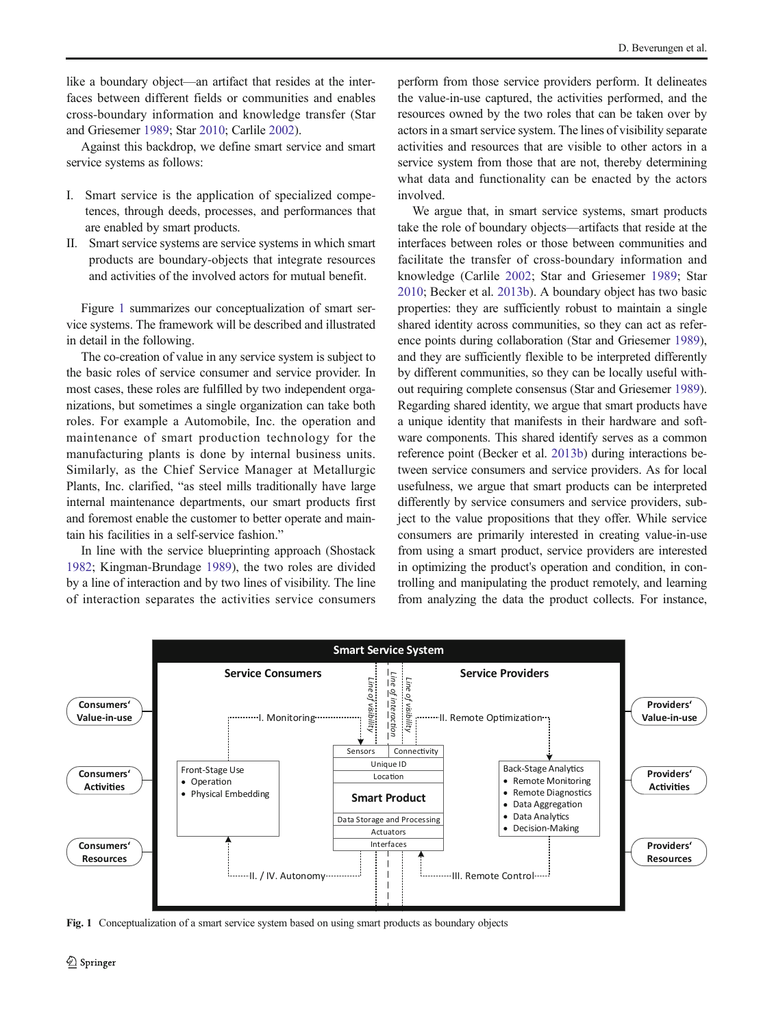like a boundary object—an artifact that resides at the interfaces between different fields or communities and enables cross-boundary information and knowledge transfer (Star and Griesemer [1989](#page-11-0); Star [2010](#page-11-0); Carlile [2002\)](#page-10-0).

Against this backdrop, we define smart service and smart service systems as follows:

- I. Smart service is the application of specialized competences, through deeds, processes, and performances that are enabled by smart products.
- II. Smart service systems are service systems in which smart products are boundary-objects that integrate resources and activities of the involved actors for mutual benefit.

Figure 1 summarizes our conceptualization of smart service systems. The framework will be described and illustrated in detail in the following.

The co-creation of value in any service system is subject to the basic roles of service consumer and service provider. In most cases, these roles are fulfilled by two independent organizations, but sometimes a single organization can take both roles. For example a Automobile, Inc. the operation and maintenance of smart production technology for the manufacturing plants is done by internal business units. Similarly, as the Chief Service Manager at Metallurgic Plants, Inc. clarified, "as steel mills traditionally have large internal maintenance departments, our smart products first and foremost enable the customer to better operate and maintain his facilities in a self-service fashion."

In line with the service blueprinting approach (Shostack [1982;](#page-11-0) Kingman-Brundage [1989](#page-11-0)), the two roles are divided by a line of interaction and by two lines of visibility. The line of interaction separates the activities service consumers

perform from those service providers perform. It delineates the value-in-use captured, the activities performed, and the resources owned by the two roles that can be taken over by actors in a smart service system. The lines of visibility separate activities and resources that are visible to other actors in a service system from those that are not, thereby determining what data and functionality can be enacted by the actors involved.

We argue that, in smart service systems, smart products take the role of boundary objects—artifacts that reside at the interfaces between roles or those between communities and facilitate the transfer of cross-boundary information and knowledge (Carlile [2002](#page-10-0); Star and Griesemer [1989](#page-11-0); Star [2010;](#page-11-0) Becker et al. [2013b](#page-10-0)). A boundary object has two basic properties: they are sufficiently robust to maintain a single shared identity across communities, so they can act as reference points during collaboration (Star and Griesemer [1989\)](#page-11-0), and they are sufficiently flexible to be interpreted differently by different communities, so they can be locally useful without requiring complete consensus (Star and Griesemer [1989\)](#page-11-0). Regarding shared identity, we argue that smart products have a unique identity that manifests in their hardware and software components. This shared identify serves as a common reference point (Becker et al. [2013b\)](#page-10-0) during interactions between service consumers and service providers. As for local usefulness, we argue that smart products can be interpreted differently by service consumers and service providers, subject to the value propositions that they offer. While service consumers are primarily interested in creating value-in-use from using a smart product, service providers are interested in optimizing the product's operation and condition, in controlling and manipulating the product remotely, and learning from analyzing the data the product collects. For instance,



Fig. 1 Conceptualization of a smart service system based on using smart products as boundary objects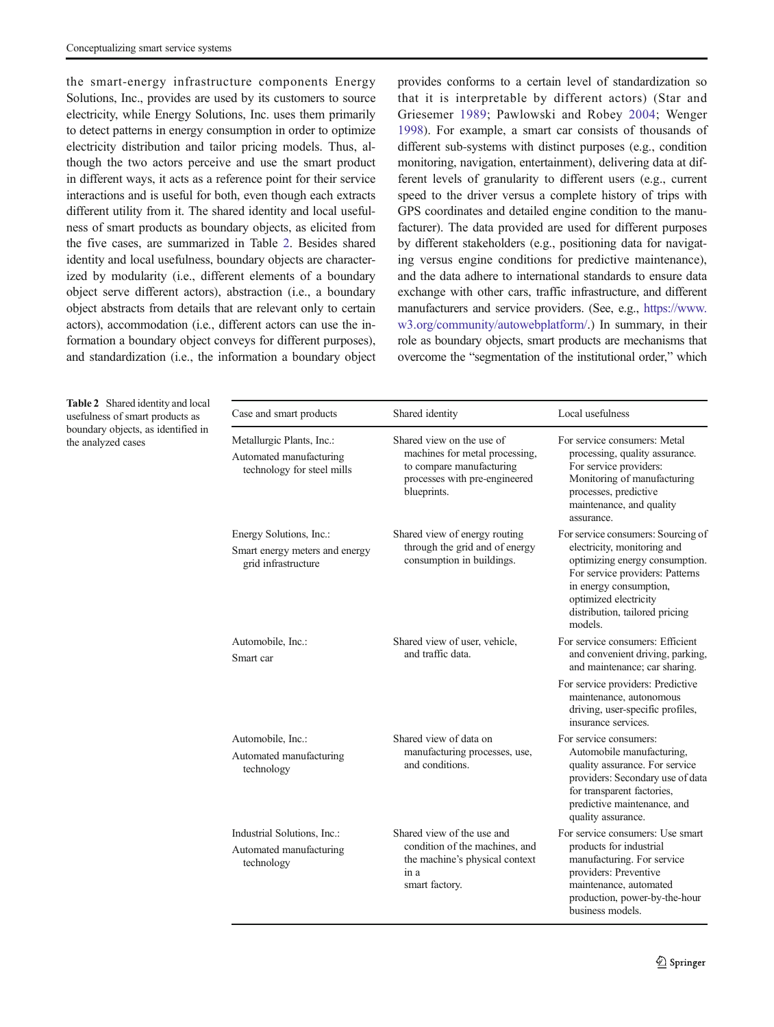the smart-energy infrastructure components Energy Solutions, Inc., provides are used by its customers to source electricity, while Energy Solutions, Inc. uses them primarily to detect patterns in energy consumption in order to optimize electricity distribution and tailor pricing models. Thus, although the two actors perceive and use the smart product in different ways, it acts as a reference point for their service interactions and is useful for both, even though each extracts different utility from it. The shared identity and local usefulness of smart products as boundary objects, as elicited from the five cases, are summarized in Table 2. Besides shared identity and local usefulness, boundary objects are characterized by modularity (i.e., different elements of a boundary object serve different actors), abstraction (i.e., a boundary object abstracts from details that are relevant only to certain actors), accommodation (i.e., different actors can use the information a boundary object conveys for different purposes), and standardization (i.e., the information a boundary object provides conforms to a certain level of standardization so that it is interpretable by different actors) (Star and Griesemer [1989;](#page-11-0) Pawlowski and Robey [2004;](#page-11-0) Wenger [1998\)](#page-11-0). For example, a smart car consists of thousands of different sub-systems with distinct purposes (e.g., condition monitoring, navigation, entertainment), delivering data at different levels of granularity to different users (e.g., current speed to the driver versus a complete history of trips with GPS coordinates and detailed engine condition to the manufacturer). The data provided are used for different purposes by different stakeholders (e.g., positioning data for navigating versus engine conditions for predictive maintenance), and the data adhere to international standards to ensure data exchange with other cars, traffic infrastructure, and different manufacturers and service providers. (See, e.g., [https://www.](https://www.w3.org/community/autowebplatform/) [w3.org/community/autowebplatform/](https://www.w3.org/community/autowebplatform/).) In summary, in their role as boundary objects, smart products are mechanisms that overcome the "segmentation of the institutional order," which

Table 2 Shared identity and local usefulness of smart products as boundary objects, as identified in the analyzed cases

| Case and smart products                                                            | Shared identity                                                                                                                         | Local usefulness                                                                                                                                                                                                                       |
|------------------------------------------------------------------------------------|-----------------------------------------------------------------------------------------------------------------------------------------|----------------------------------------------------------------------------------------------------------------------------------------------------------------------------------------------------------------------------------------|
| Metallurgic Plants, Inc.:<br>Automated manufacturing<br>technology for steel mills | Shared view on the use of<br>machines for metal processing,<br>to compare manufacturing<br>processes with pre-engineered<br>blueprints. | For service consumers: Metal<br>processing, quality assurance.<br>For service providers:<br>Monitoring of manufacturing<br>processes, predictive<br>maintenance, and quality<br>assurance.                                             |
| Energy Solutions, Inc.:<br>Smart energy meters and energy<br>grid infrastructure   | Shared view of energy routing<br>through the grid and of energy<br>consumption in buildings.                                            | For service consumers: Sourcing of<br>electricity, monitoring and<br>optimizing energy consumption.<br>For service providers: Patterns<br>in energy consumption,<br>optimized electricity<br>distribution, tailored pricing<br>models. |
| Automobile, Inc.:<br>Smart car                                                     | Shared view of user, vehicle,<br>and traffic data.                                                                                      | For service consumers: Efficient<br>and convenient driving, parking,<br>and maintenance; car sharing.<br>For service providers: Predictive<br>maintenance, autonomous<br>driving, user-specific profiles,<br>insurance services.       |
| Automobile, Inc.:<br>Automated manufacturing<br>technology                         | Shared view of data on<br>manufacturing processes, use,<br>and conditions.                                                              | For service consumers:<br>Automobile manufacturing,<br>quality assurance. For service<br>providers: Secondary use of data<br>for transparent factories,<br>predictive maintenance, and<br>quality assurance.                           |
| Industrial Solutions, Inc.:<br>Automated manufacturing<br>technology               | Shared view of the use and<br>condition of the machines, and<br>the machine's physical context<br>in a<br>smart factory.                | For service consumers: Use smart<br>products for industrial<br>manufacturing. For service<br>providers: Preventive<br>maintenance, automated<br>production, power-by-the-hour<br>business models.                                      |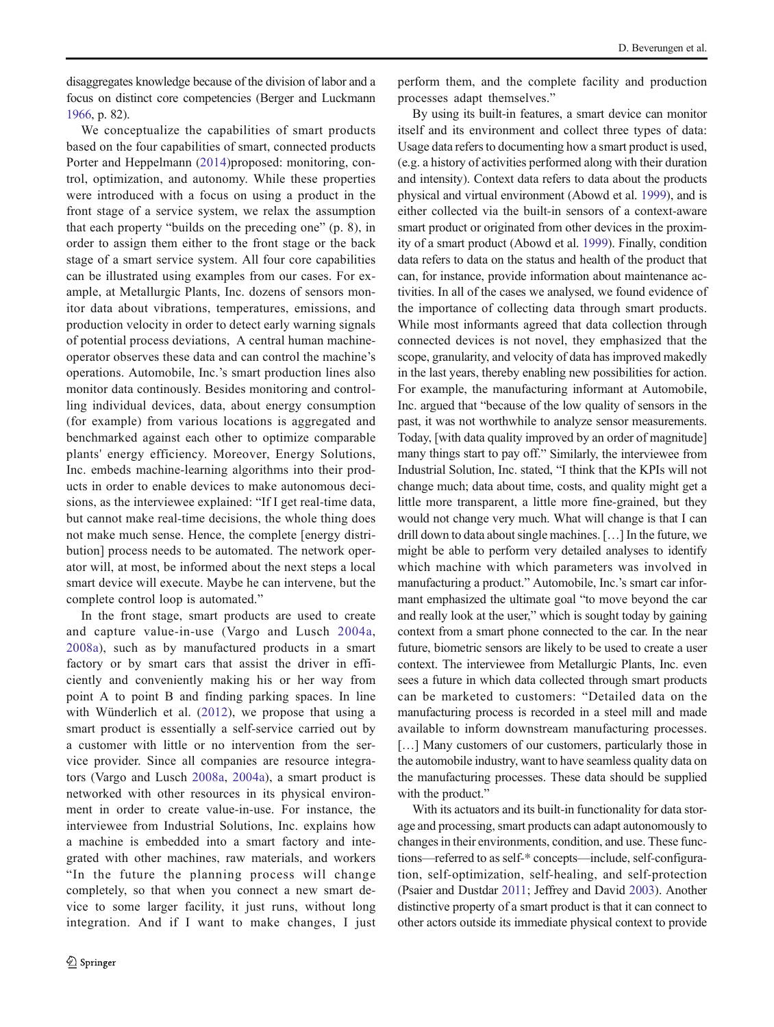disaggregates knowledge because of the division of labor and a focus on distinct core competencies (Berger and Luckmann [1966](#page-10-0), p. 82).

We conceptualize the capabilities of smart products based on the four capabilities of smart, connected products Porter and Heppelmann [\(2014](#page-11-0))proposed: monitoring, control, optimization, and autonomy. While these properties were introduced with a focus on using a product in the front stage of a service system, we relax the assumption that each property "builds on the preceding one" (p. 8), in order to assign them either to the front stage or the back stage of a smart service system. All four core capabilities can be illustrated using examples from our cases. For example, at Metallurgic Plants, Inc. dozens of sensors monitor data about vibrations, temperatures, emissions, and production velocity in order to detect early warning signals of potential process deviations, A central human machineoperator observes these data and can control the machine's operations. Automobile, Inc.'s smart production lines also monitor data continously. Besides monitoring and controlling individual devices, data, about energy consumption (for example) from various locations is aggregated and benchmarked against each other to optimize comparable plants' energy efficiency. Moreover, Energy Solutions, Inc. embeds machine-learning algorithms into their products in order to enable devices to make autonomous decisions, as the interviewee explained: "If I get real-time data, but cannot make real-time decisions, the whole thing does not make much sense. Hence, the complete [energy distribution] process needs to be automated. The network operator will, at most, be informed about the next steps a local smart device will execute. Maybe he can intervene, but the complete control loop is automated."

In the front stage, smart products are used to create and capture value-in-use (Vargo and Lusch [2004a,](#page-11-0) [2008a\)](#page-11-0), such as by manufactured products in a smart factory or by smart cars that assist the driver in efficiently and conveniently making his or her way from point A to point B and finding parking spaces. In line with Wünderlich et al. ([2012](#page-11-0)), we propose that using a smart product is essentially a self-service carried out by a customer with little or no intervention from the service provider. Since all companies are resource integrators (Vargo and Lusch [2008a,](#page-11-0) [2004a\)](#page-11-0), a smart product is networked with other resources in its physical environment in order to create value-in-use. For instance, the interviewee from Industrial Solutions, Inc. explains how a machine is embedded into a smart factory and integrated with other machines, raw materials, and workers "In the future the planning process will change completely, so that when you connect a new smart device to some larger facility, it just runs, without long integration. And if I want to make changes, I just

perform them, and the complete facility and production processes adapt themselves."

By using its built-in features, a smart device can monitor itself and its environment and collect three types of data: Usage data refers to documenting how a smart product is used, (e.g. a history of activities performed along with their duration and intensity). Context data refers to data about the products physical and virtual environment (Abowd et al. [1999\)](#page-10-0), and is either collected via the built-in sensors of a context-aware smart product or originated from other devices in the proximity of a smart product (Abowd et al. [1999\)](#page-10-0). Finally, condition data refers to data on the status and health of the product that can, for instance, provide information about maintenance activities. In all of the cases we analysed, we found evidence of the importance of collecting data through smart products. While most informants agreed that data collection through connected devices is not novel, they emphasized that the scope, granularity, and velocity of data has improved makedly in the last years, thereby enabling new possibilities for action. For example, the manufacturing informant at Automobile, Inc. argued that "because of the low quality of sensors in the past, it was not worthwhile to analyze sensor measurements. Today, [with data quality improved by an order of magnitude] many things start to pay off." Similarly, the interviewee from Industrial Solution, Inc. stated, "I think that the KPIs will not change much; data about time, costs, and quality might get a little more transparent, a little more fine-grained, but they would not change very much. What will change is that I can drill down to data about single machines. […] In the future, we might be able to perform very detailed analyses to identify which machine with which parameters was involved in manufacturing a product." Automobile, Inc.'s smart car informant emphasized the ultimate goal "to move beyond the car and really look at the user," which is sought today by gaining context from a smart phone connected to the car. In the near future, biometric sensors are likely to be used to create a user context. The interviewee from Metallurgic Plants, Inc. even sees a future in which data collected through smart products can be marketed to customers: "Detailed data on the manufacturing process is recorded in a steel mill and made available to inform downstream manufacturing processes. [...] Many customers of our customers, particularly those in the automobile industry, want to have seamless quality data on the manufacturing processes. These data should be supplied with the product."

With its actuators and its built-in functionality for data storage and processing, smart products can adapt autonomously to changes in their environments, condition, and use. These functions—referred to as self-\* concepts—include, self-configuration, self-optimization, self-healing, and self-protection (Psaier and Dustdar [2011;](#page-11-0) Jeffrey and David [2003\)](#page-11-0). Another distinctive property of a smart product is that it can connect to other actors outside its immediate physical context to provide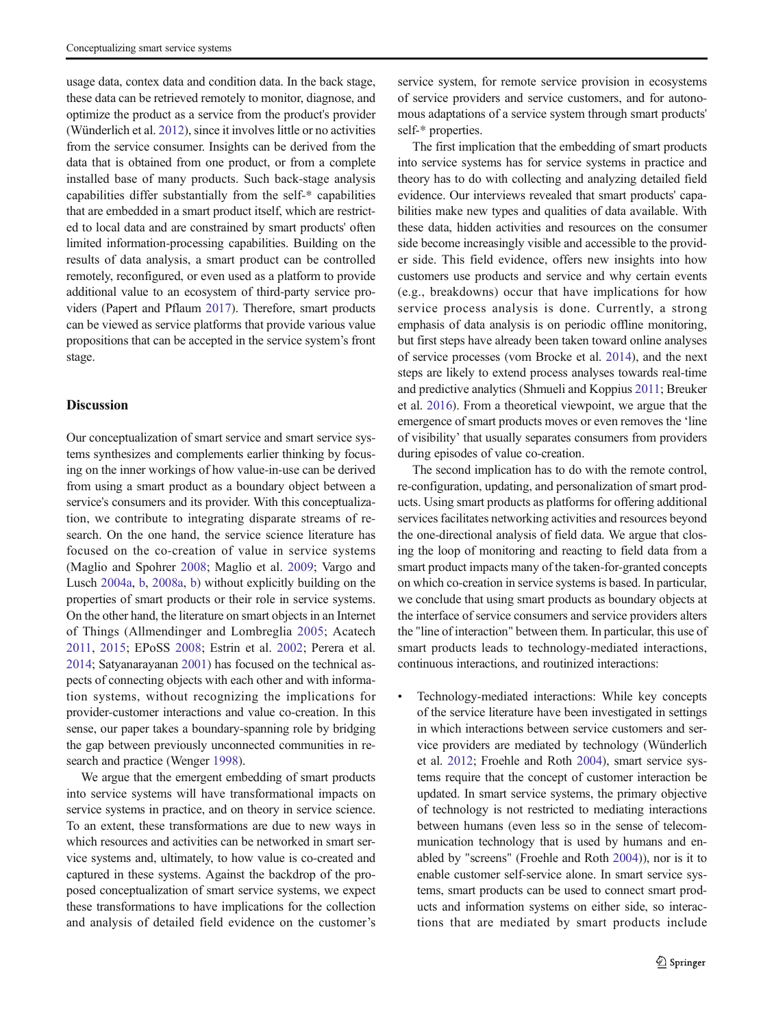usage data, contex data and condition data. In the back stage, these data can be retrieved remotely to monitor, diagnose, and optimize the product as a service from the product's provider (Wünderlich et al. [2012\)](#page-11-0), since it involves little or no activities from the service consumer. Insights can be derived from the data that is obtained from one product, or from a complete installed base of many products. Such back-stage analysis capabilities differ substantially from the self-\* capabilities that are embedded in a smart product itself, which are restricted to local data and are constrained by smart products' often limited information-processing capabilities. Building on the results of data analysis, a smart product can be controlled remotely, reconfigured, or even used as a platform to provide additional value to an ecosystem of third-party service providers (Papert and Pflaum [2017\)](#page-11-0). Therefore, smart products can be viewed as service platforms that provide various value propositions that can be accepted in the service system's front stage.

### Discussion

Our conceptualization of smart service and smart service systems synthesizes and complements earlier thinking by focusing on the inner workings of how value-in-use can be derived from using a smart product as a boundary object between a service's consumers and its provider. With this conceptualization, we contribute to integrating disparate streams of research. On the one hand, the service science literature has focused on the co-creation of value in service systems (Maglio and Spohrer [2008;](#page-11-0) Maglio et al. [2009](#page-11-0); Vargo and Lusch [2004a,](#page-11-0) [b,](#page-11-0) [2008a](#page-11-0), [b](#page-11-0)) without explicitly building on the properties of smart products or their role in service systems. On the other hand, the literature on smart objects in an Internet of Things (Allmendinger and Lombreglia [2005](#page-10-0); Acatech [2011,](#page-10-0) [2015](#page-10-0); EPoSS [2008](#page-10-0); Estrin et al. [2002](#page-10-0); Perera et al. [2014;](#page-11-0) Satyanarayanan [2001](#page-11-0)) has focused on the technical aspects of connecting objects with each other and with information systems, without recognizing the implications for provider-customer interactions and value co-creation. In this sense, our paper takes a boundary-spanning role by bridging the gap between previously unconnected communities in research and practice (Wenger [1998](#page-11-0)).

We argue that the emergent embedding of smart products into service systems will have transformational impacts on service systems in practice, and on theory in service science. To an extent, these transformations are due to new ways in which resources and activities can be networked in smart service systems and, ultimately, to how value is co-created and captured in these systems. Against the backdrop of the proposed conceptualization of smart service systems, we expect these transformations to have implications for the collection and analysis of detailed field evidence on the customer's service system, for remote service provision in ecosystems of service providers and service customers, and for autonomous adaptations of a service system through smart products' self-\* properties.

The first implication that the embedding of smart products into service systems has for service systems in practice and theory has to do with collecting and analyzing detailed field evidence. Our interviews revealed that smart products' capabilities make new types and qualities of data available. With these data, hidden activities and resources on the consumer side become increasingly visible and accessible to the provider side. This field evidence, offers new insights into how customers use products and service and why certain events (e.g., breakdowns) occur that have implications for how service process analysis is done. Currently, a strong emphasis of data analysis is on periodic offline monitoring, but first steps have already been taken toward online analyses of service processes (vom Brocke et al. [2014](#page-11-0)), and the next steps are likely to extend process analyses towards real-time and predictive analytics (Shmueli and Koppius [2011](#page-11-0); Breuker et al. [2016](#page-10-0)). From a theoretical viewpoint, we argue that the emergence of smart products moves or even removes the 'line of visibility' that usually separates consumers from providers during episodes of value co-creation.

The second implication has to do with the remote control, re-configuration, updating, and personalization of smart products. Using smart products as platforms for offering additional services facilitates networking activities and resources beyond the one-directional analysis of field data. We argue that closing the loop of monitoring and reacting to field data from a smart product impacts many of the taken-for-granted concepts on which co-creation in service systems is based. In particular, we conclude that using smart products as boundary objects at the interface of service consumers and service providers alters the "line of interaction" between them. In particular, this use of smart products leads to technology-mediated interactions, continuous interactions, and routinized interactions:

Technology-mediated interactions: While key concepts of the service literature have been investigated in settings in which interactions between service customers and service providers are mediated by technology (Wünderlich et al. [2012](#page-11-0); Froehle and Roth [2004\)](#page-10-0), smart service systems require that the concept of customer interaction be updated. In smart service systems, the primary objective of technology is not restricted to mediating interactions between humans (even less so in the sense of telecommunication technology that is used by humans and enabled by "screens" (Froehle and Roth [2004](#page-10-0))), nor is it to enable customer self-service alone. In smart service systems, smart products can be used to connect smart products and information systems on either side, so interactions that are mediated by smart products include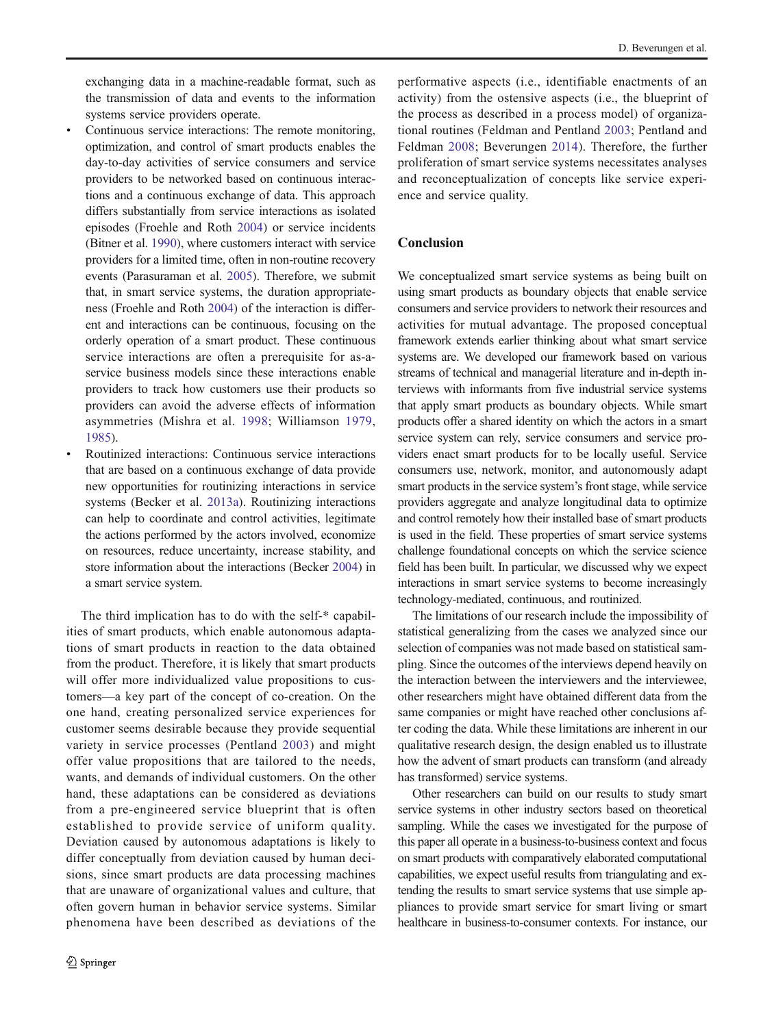exchanging data in a machine-readable format, such as the transmission of data and events to the information systems service providers operate.

- Continuous service interactions: The remote monitoring, optimization, and control of smart products enables the day-to-day activities of service consumers and service providers to be networked based on continuous interactions and a continuous exchange of data. This approach differs substantially from service interactions as isolated episodes (Froehle and Roth [2004\)](#page-10-0) or service incidents (Bitner et al. [1990\)](#page-10-0), where customers interact with service providers for a limited time, often in non-routine recovery events (Parasuraman et al. [2005](#page-11-0)). Therefore, we submit that, in smart service systems, the duration appropriateness (Froehle and Roth [2004\)](#page-10-0) of the interaction is different and interactions can be continuous, focusing on the orderly operation of a smart product. These continuous service interactions are often a prerequisite for as-aservice business models since these interactions enable providers to track how customers use their products so providers can avoid the adverse effects of information asymmetries (Mishra et al. [1998](#page-11-0); Williamson [1979,](#page-11-0) [1985](#page-11-0)).
- Routinized interactions: Continuous service interactions that are based on a continuous exchange of data provide new opportunities for routinizing interactions in service systems (Becker et al. [2013a\)](#page-10-0). Routinizing interactions can help to coordinate and control activities, legitimate the actions performed by the actors involved, economize on resources, reduce uncertainty, increase stability, and store information about the interactions (Becker [2004\)](#page-10-0) in a smart service system.

The third implication has to do with the self-\* capabilities of smart products, which enable autonomous adaptations of smart products in reaction to the data obtained from the product. Therefore, it is likely that smart products will offer more individualized value propositions to customers—a key part of the concept of co-creation. On the one hand, creating personalized service experiences for customer seems desirable because they provide sequential variety in service processes (Pentland [2003\)](#page-11-0) and might offer value propositions that are tailored to the needs, wants, and demands of individual customers. On the other hand, these adaptations can be considered as deviations from a pre-engineered service blueprint that is often established to provide service of uniform quality. Deviation caused by autonomous adaptations is likely to differ conceptually from deviation caused by human decisions, since smart products are data processing machines that are unaware of organizational values and culture, that often govern human in behavior service systems. Similar phenomena have been described as deviations of the

performative aspects (i.e., identifiable enactments of an activity) from the ostensive aspects (i.e., the blueprint of the process as described in a process model) of organizational routines (Feldman and Pentland [2003;](#page-10-0) Pentland and Feldman [2008;](#page-11-0) Beverungen [2014](#page-10-0)). Therefore, the further proliferation of smart service systems necessitates analyses and reconceptualization of concepts like service experience and service quality.

# Conclusion

We conceptualized smart service systems as being built on using smart products as boundary objects that enable service consumers and service providers to network their resources and activities for mutual advantage. The proposed conceptual framework extends earlier thinking about what smart service systems are. We developed our framework based on various streams of technical and managerial literature and in-depth interviews with informants from five industrial service systems that apply smart products as boundary objects. While smart products offer a shared identity on which the actors in a smart service system can rely, service consumers and service providers enact smart products for to be locally useful. Service consumers use, network, monitor, and autonomously adapt smart products in the service system's front stage, while service providers aggregate and analyze longitudinal data to optimize and control remotely how their installed base of smart products is used in the field. These properties of smart service systems challenge foundational concepts on which the service science field has been built. In particular, we discussed why we expect interactions in smart service systems to become increasingly technology-mediated, continuous, and routinized.

The limitations of our research include the impossibility of statistical generalizing from the cases we analyzed since our selection of companies was not made based on statistical sampling. Since the outcomes of the interviews depend heavily on the interaction between the interviewers and the interviewee, other researchers might have obtained different data from the same companies or might have reached other conclusions after coding the data. While these limitations are inherent in our qualitative research design, the design enabled us to illustrate how the advent of smart products can transform (and already has transformed) service systems.

Other researchers can build on our results to study smart service systems in other industry sectors based on theoretical sampling. While the cases we investigated for the purpose of this paper all operate in a business-to-business context and focus on smart products with comparatively elaborated computational capabilities, we expect useful results from triangulating and extending the results to smart service systems that use simple appliances to provide smart service for smart living or smart healthcare in business-to-consumer contexts. For instance, our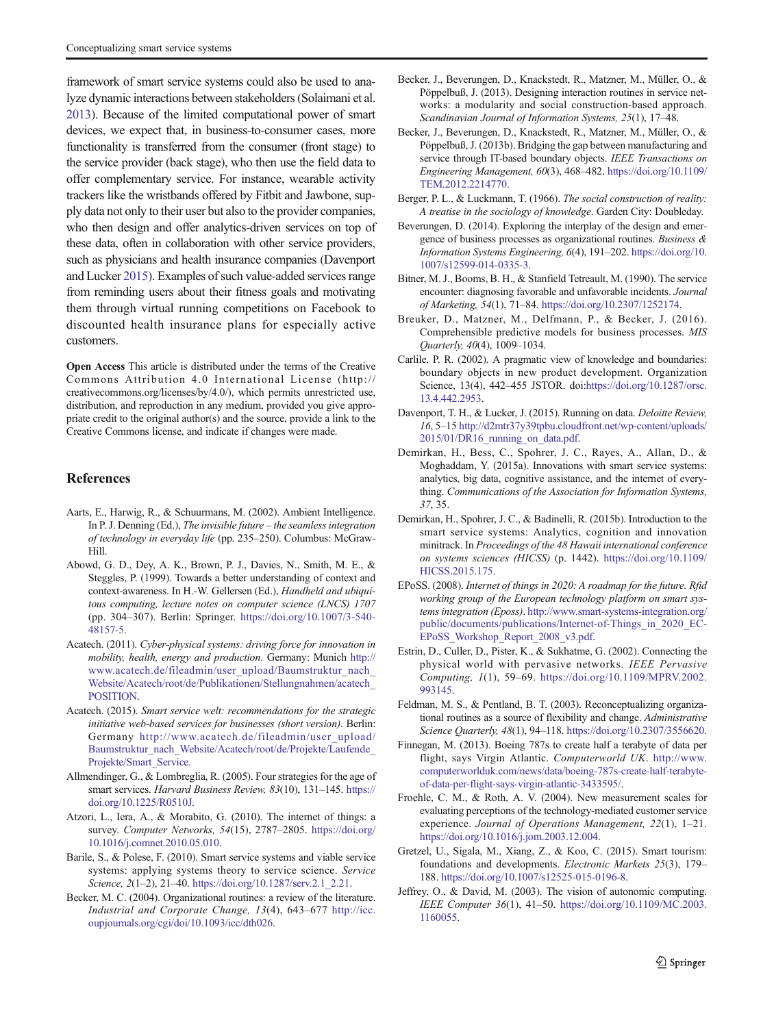<span id="page-10-0"></span>framework of smart service systems could also be used to analyze dynamic interactions between stakeholders (Solaimani et al. [2013](#page-11-0)). Because of the limited computational power of smart devices, we expect that, in business-to-consumer cases, more functionality is transferred from the consumer (front stage) to the service provider (back stage), who then use the field data to offer complementary service. For instance, wearable activity trackers like the wristbands offered by Fitbit and Jawbone, supply data not only to their user but also to the provider companies, who then design and offer analytics-driven services on top of these data, often in collaboration with other service providers, such as physicians and health insurance companies (Davenport and Lucker 2015). Examples of such value-added services range from reminding users about their fitness goals and motivating them through virtual running competitions on Facebook to discounted health insurance plans for especially active customers.

Open Access This article is distributed under the terms of the Creative Commons Attribution 4.0 International License (http:// creativecommons.org/licenses/by/4.0/), which permits unrestricted use, distribution, and reproduction in any medium, provided you give appropriate credit to the original author(s) and the source, provide a link to the Creative Commons license, and indicate if changes were made.

#### References

- Aarts, E., Harwig, R., & Schuurmans, M. (2002). Ambient Intelligence. In P. J. Denning (Ed.), The invisible future – the seamless integration of technology in everyday life (pp. 235–250). Columbus: McGraw-Hill.
- Abowd, G. D., Dey, A. K., Brown, P. J., Davies, N., Smith, M. E., & Steggles, P. (1999). Towards a better understanding of context and context-awareness. In H.-W. Gellersen (Ed.), Handheld and ubiquitous computing, lecture notes on computer science (LNCS) 1707 (pp. 304–307). Berlin: Springer. [https://doi.org/10.1007/3-540-](http://doi.org/10.1007/3-540-48157-5.) [48157-5.](http://doi.org/10.1007/3-540-48157-5.)
- Acatech. (2011). Cyber-physical systems: driving force for innovation in mobility, health, energy and production. Germany: Munich [http://](http://www.acatech.de/fileadmin/user_upload/Baumstruktur_nach_Website/Acatech/root/de/Publikationen/Stellungnahmen/acatech_POSITION) [www.acatech.de/fileadmin/user\\_upload/Baumstruktur\\_nach\\_](http://www.acatech.de/fileadmin/user_upload/Baumstruktur_nach_Website/Acatech/root/de/Publikationen/Stellungnahmen/acatech_POSITION) [Website/Acatech/root/de/Publikationen/Stellungnahmen/acatech\\_](http://www.acatech.de/fileadmin/user_upload/Baumstruktur_nach_Website/Acatech/root/de/Publikationen/Stellungnahmen/acatech_POSITION) [POSITION](http://www.acatech.de/fileadmin/user_upload/Baumstruktur_nach_Website/Acatech/root/de/Publikationen/Stellungnahmen/acatech_POSITION).
- Acatech. (2015). Smart service welt: recommendations for the strategic initiative web-based services for businesses (short version). Berlin: Germany [http://www.acatech.de/fileadmin/user\\_upload/](http://www.acatech.de/fileadmin/user_upload/Baumstruktur_nach_Website/Acatech/root/de/Projekte/Laufende_Projekte/Smart_Service) [Baumstruktur\\_nach\\_Website/Acatech/root/de/Projekte/Laufende\\_](http://www.acatech.de/fileadmin/user_upload/Baumstruktur_nach_Website/Acatech/root/de/Projekte/Laufende_Projekte/Smart_Service) [Projekte/Smart\\_Service](http://www.acatech.de/fileadmin/user_upload/Baumstruktur_nach_Website/Acatech/root/de/Projekte/Laufende_Projekte/Smart_Service).
- Allmendinger, G., & Lombreglia, R. (2005). Four strategies for the age of smart services. Harvard Business Review, 83(10), 131–145. [https://](http://doi.org/10.1225/R0510J.) [doi.org/10.1225/R0510J.](http://doi.org/10.1225/R0510J.)
- Atzori, L., Iera, A., & Morabito, G. (2010). The internet of things: a survey. Computer Networks, 54(15), 2787-2805. [https://doi.org/](http://doi.org/10.1016/j.comnet.2010.05.010) [10.1016/j.comnet.2010.05.010.](http://doi.org/10.1016/j.comnet.2010.05.010)
- Barile, S., & Polese, F. (2010). Smart service systems and viable service systems: applying systems theory to service science. Service Science, 2(1-2), 21-40. [https://doi.org/10.1287/serv.2.1\\_2.21](http://doi.org/10.1287/serv.2.1_2.21).
- Becker, M. C. (2004). Organizational routines: a review of the literature. Industrial and Corporate Change, 13(4), 643–677 [http://icc.](http://icc.oupjournals.org/cgi/doi/10.1093/icc/dth026) [oupjournals.org/cgi/doi/10.1093/icc/dth026.](http://icc.oupjournals.org/cgi/doi/10.1093/icc/dth026)
- Becker, J., Beverungen, D., Knackstedt, R., Matzner, M., Müller, O., & Pöppelbuß, J. (2013). Designing interaction routines in service networks: a modularity and social construction-based approach. Scandinavian Journal of Information Systems, 25(1), 17–48.
- Becker, J., Beverungen, D., Knackstedt, R., Matzner, M., Müller, O., & Pöppelbuß, J. (2013b). Bridging the gap between manufacturing and service through IT-based boundary objects. IEEE Transactions on Engineering Management, 60(3), 468–482. [https://doi.org/10.1109/](http://doi.org/10.1109/TEM.2012.2214770.) [TEM.2012.2214770.](http://doi.org/10.1109/TEM.2012.2214770.)
- Berger, P. L., & Luckmann, T. (1966). The social construction of reality: A treatise in the sociology of knowledge. Garden City: Doubleday.
- Beverungen, D. (2014). Exploring the interplay of the design and emergence of business processes as organizational routines. Business & Information Systems Engineering, 6(4), 191–202. [https://doi.org/10.](http://doi.org/10.1007/s12599-014-0335-3) [1007/s12599-014-0335-3.](http://doi.org/10.1007/s12599-014-0335-3)
- Bitner, M. J., Booms, B. H., & Stanfield Tetreault, M. (1990). The service encounter: diagnosing favorable and unfavorable incidents. Journal of Marketing, 54(1), 71–84. [https://doi.org/10.2307/1252174.](http://doi.org/10.2307/1252174)
- Breuker, D., Matzner, M., Delfmann, P., & Becker, J. (2016). Comprehensible predictive models for business processes. MIS Quarterly, 40(4), 1009–1034.
- Carlile, P. R. (2002). A pragmatic view of knowledge and boundaries: boundary objects in new product development. Organization Science, 13(4), 442–455 JSTOR. doi[:https://doi.org/10.1287/orsc.](http://doi.org/10.1287/orsc.13.4.442.2953) [13.4.442.2953](http://doi.org/10.1287/orsc.13.4.442.2953).
- Davenport, T. H., & Lucker, J. (2015). Running on data. Deloitte Review, 16, 5–15 [http://d2mtr37y39tpbu.cloudfront.net/wp-content/uploads/](http://d2mtr37y39tpbu.cloudfront.net/wp-content/uploads/2015/01/DR16_running_on_data.pdf) 2015/01/DR16 running on data.pdf.
- Demirkan, H., Bess, C., Spohrer, J. C., Rayes, A., Allan, D., & Moghaddam, Y. (2015a). Innovations with smart service systems: analytics, big data, cognitive assistance, and the internet of everything. Communications of the Association for Information Systems, 37, 35.
- Demirkan, H., Spohrer, J. C., & Badinelli, R. (2015b). Introduction to the smart service systems: Analytics, cognition and innovation minitrack. In Proceedings of the 48 Hawaii international conference on systems sciences (HICSS) (p. 1442). [https://doi.org/10.1109/](http://doi.org/10.1109/HICSS.2015.175) [HICSS.2015.175](http://doi.org/10.1109/HICSS.2015.175).
- EPoSS. (2008). Internet of things in 2020: A roadmap for the future. Rfid working group of the European technology platform on smart systems integration (Eposs). [http://www.smart-systems-integration.org/](http://www.smart-systems-integration.org/public/documents/publications/Internet-of-Things_in_2020_EC-EPoSS_Workshop_Report_2008_v3.pdf) [public/documents/publications/Internet-of-Things\\_in\\_2020\\_EC-](http://www.smart-systems-integration.org/public/documents/publications/Internet-of-Things_in_2020_EC-EPoSS_Workshop_Report_2008_v3.pdf)[EPoSS\\_Workshop\\_Report\\_2008\\_v3.pdf](http://www.smart-systems-integration.org/public/documents/publications/Internet-of-Things_in_2020_EC-EPoSS_Workshop_Report_2008_v3.pdf).
- Estrin, D., Culler, D., Pister, K., & Sukhatme, G. (2002). Connecting the physical world with pervasive networks. IEEE Pervasive Computing, 1(1), 59–69. [https://doi.org/10.1109/MPRV.2002.](http://doi.org/10.1109/MPRV.2002.993145) [993145.](http://doi.org/10.1109/MPRV.2002.993145)
- Feldman, M. S., & Pentland, B. T. (2003). Reconceptualizing organizational routines as a source of flexibility and change. Administrative Science Quarterly, 48(1), 94–118. [https://doi.org/10.2307/3556620](http://doi.org/10.2307/3556620).
- Finnegan, M. (2013). Boeing 787s to create half a terabyte of data per flight, says Virgin Atlantic. Computerworld UK. [http://www.](http://www.computerworlduk.com/news/data/boeing-787s-create-half-terabyte-of-data-per-flight-says-virgin-atlantic-3433595/) [computerworlduk.com/news/data/boeing-787s-create-half-terabyte](http://www.computerworlduk.com/news/data/boeing-787s-create-half-terabyte-of-data-per-flight-says-virgin-atlantic-3433595/)[of-data-per-flight-says-virgin-atlantic-3433595/.](http://www.computerworlduk.com/news/data/boeing-787s-create-half-terabyte-of-data-per-flight-says-virgin-atlantic-3433595/)
- Froehle, C. M., & Roth, A. V. (2004). New measurement scales for evaluating perceptions of the technology-mediated customer service experience. Journal of Operations Management, 22(1), 1–21. [https://doi.org/10.1016/j.jom.2003.12.004](http://doi.org/10.1016/j.jom.2003.12.004).
- Gretzel, U., Sigala, M., Xiang, Z., & Koo, C. (2015). Smart tourism: foundations and developments. Electronic Markets 25(3), 179– 188. [https://doi.org/10.1007/s12525-015-0196-8.](http://doi.org/10.1007/s12525-015-0196-8)
- Jeffrey, O., & David, M. (2003). The vision of autonomic computing. IEEE Computer 36(1), 41–50. [https://doi.org/10.1109/MC.2003.](http://doi.org/10.1109/MC.2003.1160055) [1160055.](http://doi.org/10.1109/MC.2003.1160055)